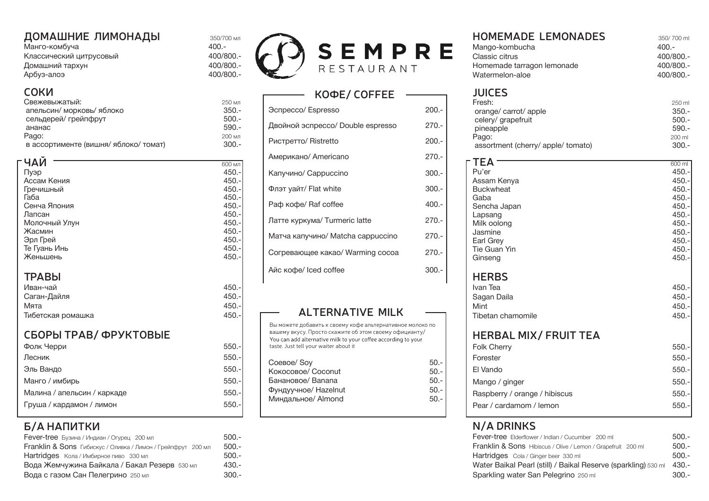# **ДОМАШНИЕ ЛИМОНАДЫ** 350/700 мл<br>Манго-комбуча 400 -

| Манго-комбуча           | $400 -$ |
|-------------------------|---------|
| Классический цитрусовый | 400/8   |
| Домашний тархун         | 400/8   |
| Арбуз-алоэ              | 400/8   |

#### **СОКИ**

| Свежевыжатый:                         | 250 мл  |
|---------------------------------------|---------|
| апельсин/ морковь/ яблоко             | $350 -$ |
| сельдерей/ грейпфрут                  | $500 -$ |
| ананас                                | $590 -$ |
| Pago:                                 | 200 мл  |
| в ассортименте (вишня/ яблоко/ томат) | $300.-$ |

| - ЧАИ         | 600 мл  |
|---------------|---------|
| Пуэр          | $450 -$ |
| Ассам Кения   | $450.-$ |
| Гречишный     | $450.-$ |
| Габа          | $450.-$ |
| Сенча Япония  | $450.-$ |
| Лапсан        | $450.-$ |
| Молочный Улун | $450.-$ |
| Жасмин        | $450.-$ |
| Эрл Грей      | $450.-$ |
| Те Гуань Инь  | $450.-$ |
| Женьшень      | $450 -$ |
|               |         |
| <b>TPABbl</b> |         |
|               |         |

| Иван-чай          | 450.- |
|-------------------|-------|
| Саган-Дайля       | 450.- |
| Мята              | 450.- |
| Тибетская ромашка | 450.- |

#### **СБОРЫ ТРАВ/ ФРУКТОВЫЕ**

| Фолк Черри                  | $550 -$ |
|-----------------------------|---------|
| Лесник                      | $550 -$ |
| Эль Вандо                   | $550 -$ |
| Манго / имбирь              | $550 -$ |
| Малина / апельсин / каркаде | $550 -$ |
| Груша / кардамон / лимон    | $550 -$ |
|                             |         |

# **Б/А НАПИТКИ**

| <b>Fever-tree</b> Бузина / Индиан / Огурец 200 мл            | $500.-$ |
|--------------------------------------------------------------|---------|
| Franklin & Sons Гибискус / Оливка / Лимон / Грейпфрут 200 мл | $500.-$ |
| Hartridges Кола / Имбирное пиво 330 мл                       | $500.-$ |
| Вода Жемчужина Байкала / Бакал Резерв 530 мл                 | $430 -$ |
| Вода с газом Сан Пелегрино 250 мл                            | $300.-$ |





# **КОФЕ/ COFFEE** Эспрессо/ Espresso 200.- Двойной эспрессо/ Double espresso 270.- Ристретто/ Ristretto 200.- Американо/ Americano 270.- Капучино/ Cappuccino 300.- Флэт уайт/ Flat white 300.- Раф кофе/ Raf coffee  $400.5$ Латте куркума/ Turmeric latte 270.- Матча капучино/ Matcha cappuccino 270.- Согревающее какао/ Warming cocoa 270.- Айс кофе/ Iced coffee 300.-

### **ALTERNATIVE MILK**

| Coeвoe/Soy           | $50 -$ |
|----------------------|--------|
| Кокосовое/ Coconut   | $50 -$ |
| Банановое/Banana     | $50 -$ |
| Фундуучное/ Hazelnut | $50 -$ |
| Миндальное/ Almond   | $50 -$ |
|                      |        |

#### **HOMEMADE LEMONADES** 350/700 ml Mango-kombucha

| iviango-Kompucha           | 400.-     |
|----------------------------|-----------|
| Classic citrus             | 400/800.- |
| Homemade tarragon lemonade | 400/800.- |
| Watermelon-aloe            | 400/800.- |

# **JUICES**

| Fresh:                             | 250 ml  |
|------------------------------------|---------|
| orange/carrot/apple                | $350 -$ |
| celery/ grapefruit                 | $500 -$ |
| pineapple                          | $590 -$ |
| Pago:                              | 200 ml  |
| assortment (cherry/ apple/ tomato) | $300 -$ |

|          | AMERINAHO/ AITIEIRAIR                                                                                                   | 41 U.F  |                               |         |
|----------|-------------------------------------------------------------------------------------------------------------------------|---------|-------------------------------|---------|
| 600 мл   |                                                                                                                         |         | TEA                           | 600 ml  |
| $450.-$  | Капучино/ Cappuccino                                                                                                    | $300.-$ | Pu'er                         | $450 -$ |
| $450.-$  |                                                                                                                         |         | Assam Kenya                   | $450 -$ |
| $450 -$  | Флэт уайт/ Flat white                                                                                                   | $300.-$ | <b>Buckwheat</b>              | $450 -$ |
| $450.-$  |                                                                                                                         |         | Gaba                          | $450 -$ |
| $450. -$ | Раф кофе/ Raf coffee                                                                                                    | $400 -$ | Sencha Japan                  | $450 -$ |
| 450.-    | Латте куркума/ Turmeric latte                                                                                           | $270 -$ | Lapsang                       | $450 -$ |
| 450.-    |                                                                                                                         |         | Milk oolong                   | $450 -$ |
| 450.-    | Матча капучино/ Matcha cappuccino                                                                                       | $270 -$ | Jasmine                       | $450 -$ |
| 450.-    |                                                                                                                         |         | Earl Grey                     | $450 -$ |
| 450.-    | Согревающее какао/ Warming сосоа                                                                                        | $270 -$ | Tie Guan Yin                  | $450 -$ |
| $450 -$  |                                                                                                                         |         | Ginseng                       | $450 -$ |
|          | Айс кофе/ Iced coffee                                                                                                   | $300.-$ |                               |         |
|          |                                                                                                                         |         | <b>HERBS</b>                  |         |
| $450. -$ |                                                                                                                         |         | Ivan Tea                      | $450 -$ |
| $450. -$ |                                                                                                                         |         | Sagan Daila                   | $450 -$ |
| 450.-    |                                                                                                                         |         | Mint                          | $450 -$ |
| 450.-    | <b>ALTERNATIVE MILK</b>                                                                                                 |         | Tibetan chamomile             | $450 -$ |
|          | Вы можете добавить к своему кофе альтернативное молоко по                                                               |         |                               |         |
|          | вашему вкусу. Просто скажите об этом своему официанту/<br>You can add alternative milk to your coffee according to your |         | <b>HERBAL MIX/ FRUIT TEA</b>  |         |
| $550.-$  | taste. Just tell your waiter about it                                                                                   |         | <b>Folk Cherry</b>            | $550.-$ |
| $550.-$  | Соевое/Soy                                                                                                              | $50. -$ | Forester                      | $550.-$ |
| $550.-$  |                                                                                                                         |         | El Vando                      | $550.-$ |
|          | Кокосовое/ Coconut                                                                                                      | $50. -$ |                               |         |
| $550.-$  | Банановое/Banana                                                                                                        | $50.-$  | Mango / ginger                | $550.-$ |
| $550.-$  | Фундуучное/ Hazelnut                                                                                                    | $50.-$  | Raspberry / orange / hibiscus | $550.-$ |
| $550.-$  | Миндальное/ Almond                                                                                                      | $50. -$ | Pear / cardamom / lemon       | $550.-$ |
|          |                                                                                                                         |         |                               |         |

### **N/A DRINKS**

| <b>Fever-tree</b> Бузина / Индиан / Огурец 200 мл                       | $500 -$ | <b>Fever-tree</b> Elderflower / Indian / Cucumber 200 ml                | $500 -$ |
|-------------------------------------------------------------------------|---------|-------------------------------------------------------------------------|---------|
| <b>Franklin &amp; Sons</b> Гибискус / Оливка / Лимон / Грейпфрут 200 мл | -500.-  | <b>Franklin &amp; Sons</b> Hibiscus / Olive / Lemon / Grapefruit 200 ml | $500 -$ |
| Hartridges Кола / Имбирное пиво 330 мл                                  | -500.-  | <b>Hartridges</b> Cola / Ginger beer 330 ml                             | $500 -$ |
| Вода Жемчужина Байкала / Бакал Резерв взомл                             | $430 -$ | Water Baikal Pearl (still) / Baikal Reserve (sparkling) 530 ml          | -430.-  |
| Вода с газом Сан Пелегрино 250 мл                                       | $300 -$ | Sparkling water San Pelegrino 250 ml                                    | $300 -$ |